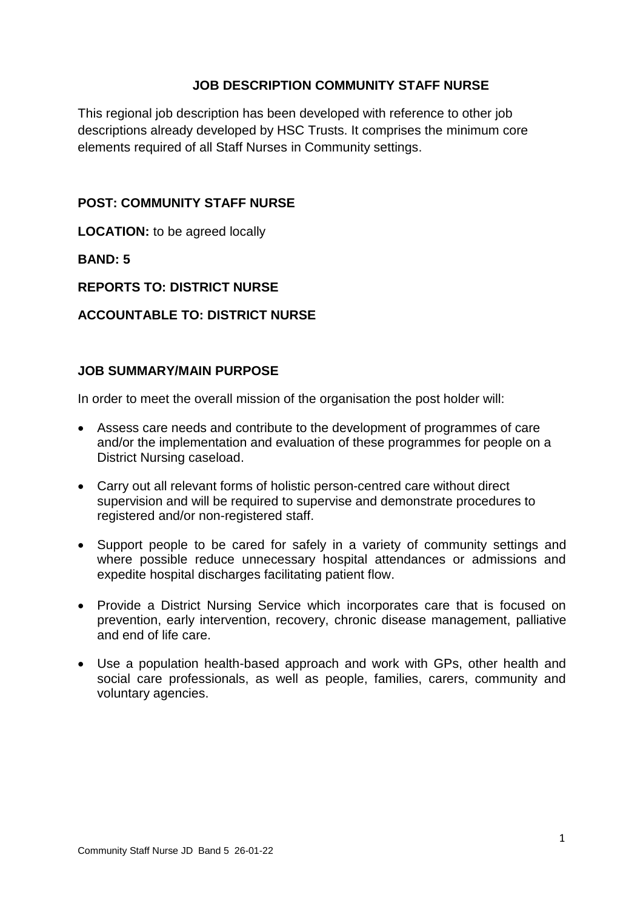## **JOB DESCRIPTION COMMUNITY STAFF NURSE**

This regional job description has been developed with reference to other job descriptions already developed by HSC Trusts. It comprises the minimum core elements required of all Staff Nurses in Community settings.

#### **POST: COMMUNITY STAFF NURSE**

**LOCATION:** to be agreed locally

**BAND: 5**

#### **REPORTS TO: DISTRICT NURSE**

#### **ACCOUNTABLE TO: DISTRICT NURSE**

#### **JOB SUMMARY/MAIN PURPOSE**

In order to meet the overall mission of the organisation the post holder will:

- Assess care needs and contribute to the development of programmes of care and/or the implementation and evaluation of these programmes for people on a District Nursing caseload.
- Carry out all relevant forms of holistic person-centred care without direct supervision and will be required to supervise and demonstrate procedures to registered and/or non-registered staff.
- Support people to be cared for safely in a variety of community settings and where possible reduce unnecessary hospital attendances or admissions and expedite hospital discharges facilitating patient flow.
- Provide a District Nursing Service which incorporates care that is focused on prevention, early intervention, recovery, chronic disease management, palliative and end of life care.
- Use a population health-based approach and work with GPs, other health and social care professionals, as well as people, families, carers, community and voluntary agencies.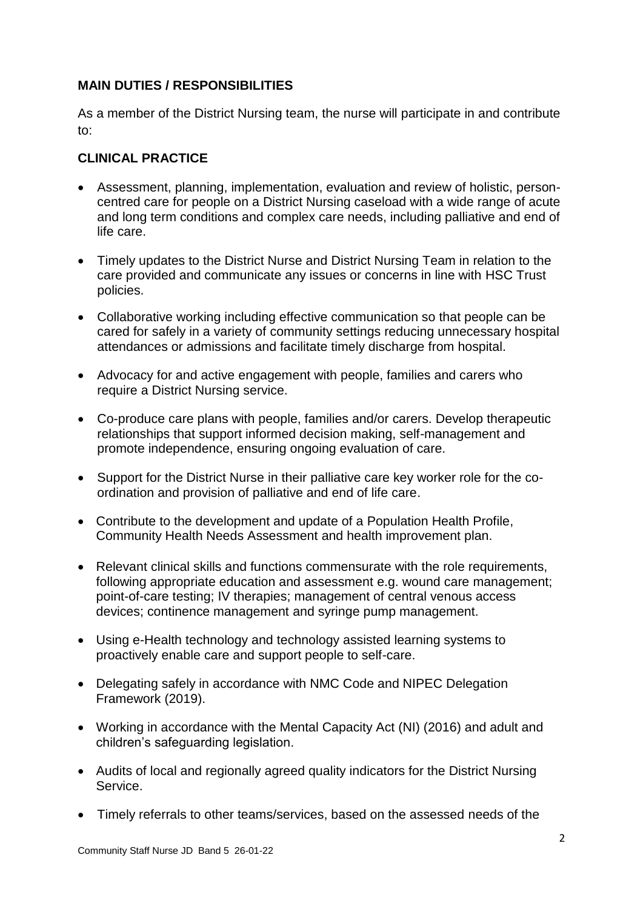## **MAIN DUTIES / RESPONSIBILITIES**

As a member of the District Nursing team, the nurse will participate in and contribute to:

## **CLINICAL PRACTICE**

- Assessment, planning, implementation, evaluation and review of holistic, personcentred care for people on a District Nursing caseload with a wide range of acute and long term conditions and complex care needs, including palliative and end of life care.
- Timely updates to the District Nurse and District Nursing Team in relation to the care provided and communicate any issues or concerns in line with HSC Trust policies.
- Collaborative working including effective communication so that people can be cared for safely in a variety of community settings reducing unnecessary hospital attendances or admissions and facilitate timely discharge from hospital.
- Advocacy for and active engagement with people, families and carers who require a District Nursing service.
- Co-produce care plans with people, families and/or carers. Develop therapeutic relationships that support informed decision making, self-management and promote independence, ensuring ongoing evaluation of care.
- Support for the District Nurse in their palliative care key worker role for the coordination and provision of palliative and end of life care.
- Contribute to the development and update of a Population Health Profile, Community Health Needs Assessment and health improvement plan.
- Relevant clinical skills and functions commensurate with the role requirements, following appropriate education and assessment e.g. wound care management; point-of-care testing; IV therapies; management of central venous access devices; continence management and syringe pump management.
- Using e-Health technology and technology assisted learning systems to proactively enable care and support people to self-care.
- Delegating safely in accordance with NMC Code and NIPEC Delegation Framework (2019).
- Working in accordance with the Mental Capacity Act (NI) (2016) and adult and children's safeguarding legislation.
- Audits of local and regionally agreed quality indicators for the District Nursing Service.
- Timely referrals to other teams/services, based on the assessed needs of the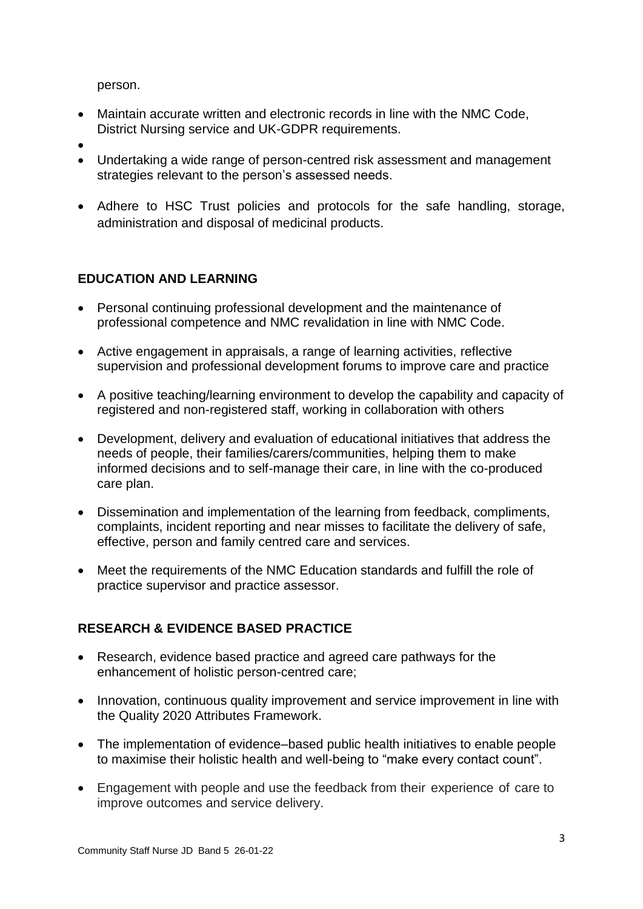person.

- Maintain accurate written and electronic records in line with the NMC Code, District Nursing service and UK-GDPR requirements.
- $\bullet$
- Undertaking a wide range of person-centred risk assessment and management strategies relevant to the person's assessed needs.
- Adhere to HSC Trust policies and protocols for the safe handling, storage, administration and disposal of medicinal products.

# **EDUCATION AND LEARNING**

- Personal continuing professional development and the maintenance of professional competence and NMC revalidation in line with NMC Code.
- Active engagement in appraisals, a range of learning activities, reflective supervision and professional development forums to improve care and practice
- A positive teaching/learning environment to develop the capability and capacity of registered and non-registered staff, working in collaboration with others
- Development, delivery and evaluation of educational initiatives that address the needs of people, their families/carers/communities, helping them to make informed decisions and to self-manage their care, in line with the co-produced care plan.
- Dissemination and implementation of the learning from feedback, compliments, complaints, incident reporting and near misses to facilitate the delivery of safe, effective, person and family centred care and services.
- Meet the requirements of the NMC Education standards and fulfill the role of practice supervisor and practice assessor.

# **RESEARCH & EVIDENCE BASED PRACTICE**

- Research, evidence based practice and agreed care pathways for the enhancement of holistic person-centred care;
- Innovation, continuous quality improvement and service improvement in line with the Quality 2020 Attributes Framework.
- The implementation of evidence–based public health initiatives to enable people to maximise their holistic health and well-being to "make every contact count".
- Engagement with people and use the feedback from their experience of care to improve outcomes and service delivery.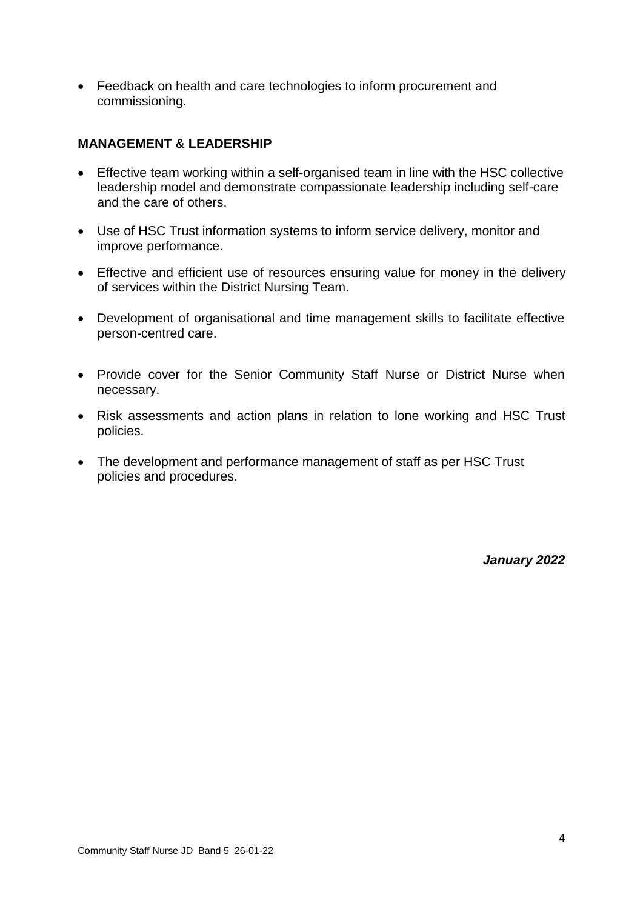Feedback on health and care technologies to inform procurement and commissioning.

#### **MANAGEMENT & LEADERSHIP**

- Effective team working within a self-organised team in line with the HSC collective leadership model and demonstrate compassionate leadership including self-care and the care of others.
- Use of HSC Trust information systems to inform service delivery, monitor and improve performance.
- Effective and efficient use of resources ensuring value for money in the delivery of services within the District Nursing Team.
- Development of organisational and time management skills to facilitate effective person-centred care.
- Provide cover for the Senior Community Staff Nurse or District Nurse when necessary.
- Risk assessments and action plans in relation to lone working and HSC Trust policies.
- The development and performance management of staff as per HSC Trust policies and procedures.

*January 2022*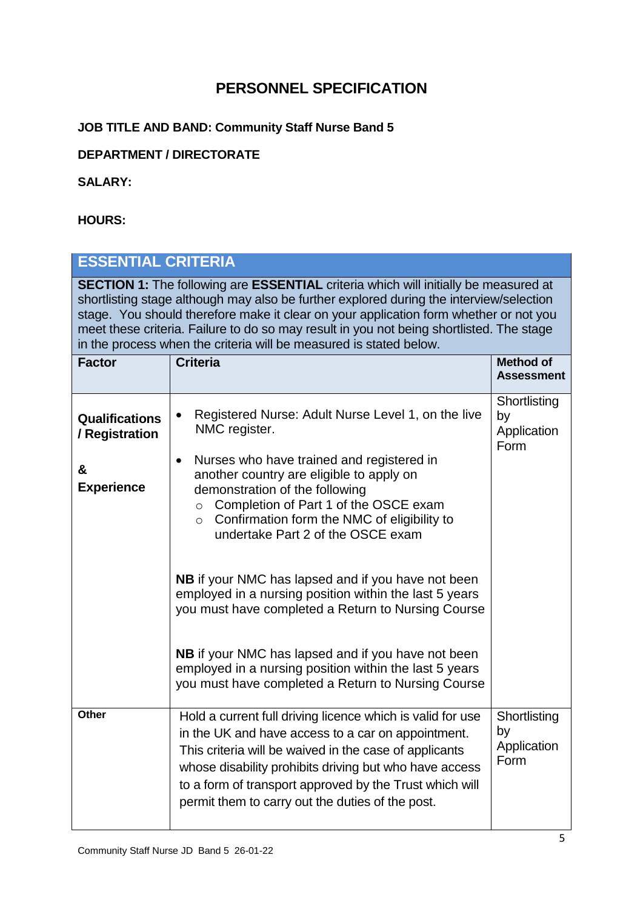# **PERSONNEL SPECIFICATION**

# **JOB TITLE AND BAND: Community Staff Nurse Band 5**

# **DEPARTMENT / DIRECTORATE**

#### **SALARY:**

## **HOURS:**

| <b>ESSENTIAL CRITERIA</b>                                                                                                                                                                                                                                                                                                                                                                                                                               |                                                                                                                                                                                                                                                                                                                                                                                                                                                                                                                                                                                                                                                                                                                          |                                           |  |
|---------------------------------------------------------------------------------------------------------------------------------------------------------------------------------------------------------------------------------------------------------------------------------------------------------------------------------------------------------------------------------------------------------------------------------------------------------|--------------------------------------------------------------------------------------------------------------------------------------------------------------------------------------------------------------------------------------------------------------------------------------------------------------------------------------------------------------------------------------------------------------------------------------------------------------------------------------------------------------------------------------------------------------------------------------------------------------------------------------------------------------------------------------------------------------------------|-------------------------------------------|--|
| <b>SECTION 1:</b> The following are <b>ESSENTIAL</b> criteria which will initially be measured at<br>shortlisting stage although may also be further explored during the interview/selection<br>stage. You should therefore make it clear on your application form whether or not you<br>meet these criteria. Failure to do so may result in you not being shortlisted. The stage<br>in the process when the criteria will be measured is stated below. |                                                                                                                                                                                                                                                                                                                                                                                                                                                                                                                                                                                                                                                                                                                          |                                           |  |
| <b>Factor</b>                                                                                                                                                                                                                                                                                                                                                                                                                                           | <b>Criteria</b>                                                                                                                                                                                                                                                                                                                                                                                                                                                                                                                                                                                                                                                                                                          | <b>Method of</b><br><b>Assessment</b>     |  |
| <b>Qualifications</b><br>/ Registration<br>&<br><b>Experience</b>                                                                                                                                                                                                                                                                                                                                                                                       | Registered Nurse: Adult Nurse Level 1, on the live<br>NMC register.<br>Nurses who have trained and registered in<br>$\bullet$<br>another country are eligible to apply on<br>demonstration of the following<br>Completion of Part 1 of the OSCE exam<br>$\circ$<br>Confirmation form the NMC of eligibility to<br>$\circ$<br>undertake Part 2 of the OSCE exam<br><b>NB</b> if your NMC has lapsed and if you have not been<br>employed in a nursing position within the last 5 years<br>you must have completed a Return to Nursing Course<br><b>NB</b> if your NMC has lapsed and if you have not been<br>employed in a nursing position within the last 5 years<br>you must have completed a Return to Nursing Course | Shortlisting<br>by<br>Application<br>Form |  |
| Other                                                                                                                                                                                                                                                                                                                                                                                                                                                   | Hold a current full driving licence which is valid for use<br>in the UK and have access to a car on appointment.<br>This criteria will be waived in the case of applicants<br>whose disability prohibits driving but who have access<br>to a form of transport approved by the Trust which will<br>permit them to carry out the duties of the post.                                                                                                                                                                                                                                                                                                                                                                      | Shortlisting<br>by<br>Application<br>Form |  |